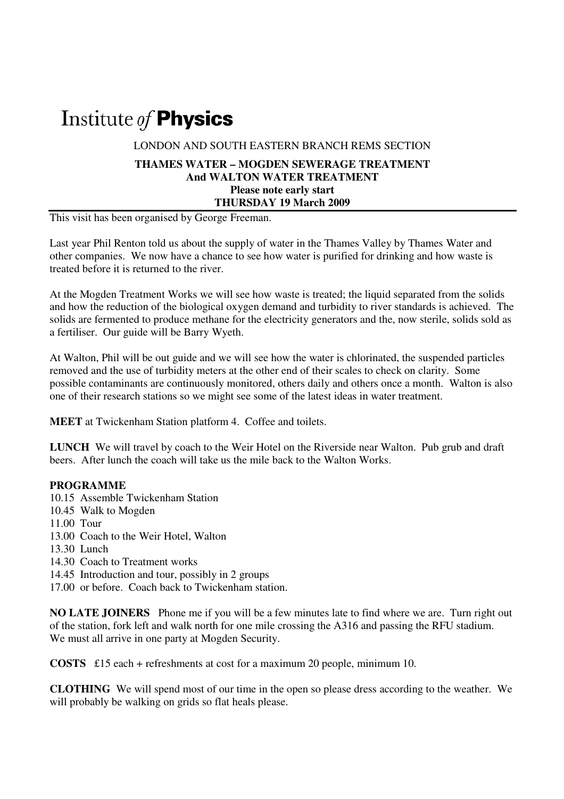# Institute of **Physics**

### LONDON AND SOUTH EASTERN BRANCH REMS SECTION

# **THAMES WATER – MOGDEN SEWERAGE TREATMENT And WALTON WATER TREATMENT Please note early start THURSDAY 19 March 2009**

This visit has been organised by George Freeman.

Last year Phil Renton told us about the supply of water in the Thames Valley by Thames Water and other companies. We now have a chance to see how water is purified for drinking and how waste is treated before it is returned to the river.

At the Mogden Treatment Works we will see how waste is treated; the liquid separated from the solids and how the reduction of the biological oxygen demand and turbidity to river standards is achieved. The solids are fermented to produce methane for the electricity generators and the, now sterile, solids sold as a fertiliser. Our guide will be Barry Wyeth.

At Walton, Phil will be out guide and we will see how the water is chlorinated, the suspended particles removed and the use of turbidity meters at the other end of their scales to check on clarity. Some possible contaminants are continuously monitored, others daily and others once a month. Walton is also one of their research stations so we might see some of the latest ideas in water treatment.

**MEET** at Twickenham Station platform 4. Coffee and toilets.

**LUNCH** We will travel by coach to the Weir Hotel on the Riverside near Walton. Pub grub and draft beers. After lunch the coach will take us the mile back to the Walton Works.

#### **PROGRAMME**

- 10.15 Assemble Twickenham Station
- 10.45 Walk to Mogden
- 11.00 Tour
- 13.00 Coach to the Weir Hotel, Walton
- 13.30 Lunch
- 14.30 Coach to Treatment works
- 14.45 Introduction and tour, possibly in 2 groups
- 17.00 or before. Coach back to Twickenham station.

**NO LATE JOINERS** Phone me if you will be a few minutes late to find where we are. Turn right out of the station, fork left and walk north for one mile crossing the A316 and passing the RFU stadium. We must all arrive in one party at Mogden Security.

**COSTS** £15 each + refreshments at cost for a maximum 20 people, minimum 10.

**CLOTHING** We will spend most of our time in the open so please dress according to the weather. We will probably be walking on grids so flat heals please.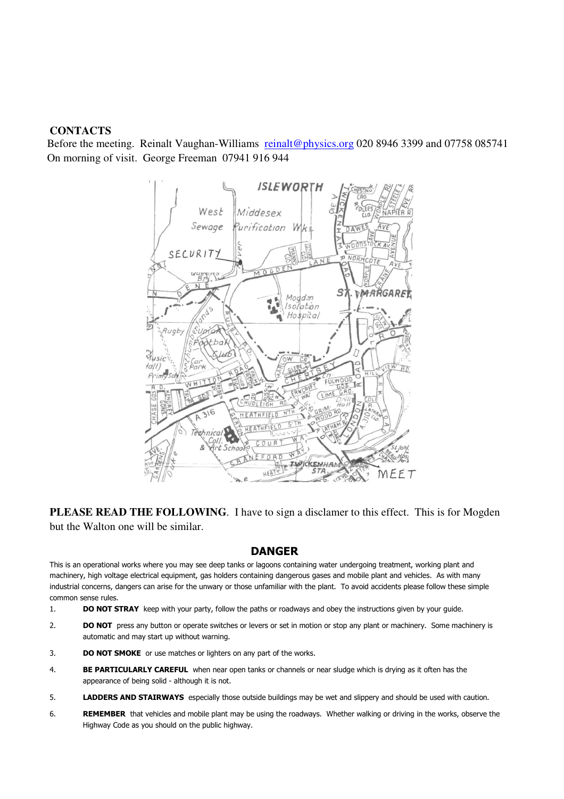#### **CONTACTS**

Before the meeting. Reinalt Vaughan-Williams reinalt@physics.org 020 8946 3399 and 07758 085741 On morning of visit. George Freeman 07941 916 944



**PLEASE READ THE FOLLOWING**. I have to sign a disclamer to this effect. This is for Mogden but the Walton one will be similar.

#### DANGER

This is an operational works where you may see deep tanks or lagoons containing water undergoing treatment, working plant and machinery, high voltage electrical equipment, gas holders containing dangerous gases and mobile plant and vehicles. As with many industrial concerns, dangers can arise for the unwary or those unfamiliar with the plant. To avoid accidents please follow these simple common sense rules.

- 1. DO NOT STRAY keep with your party, follow the paths or roadways and obey the instructions given by your guide.
- 2. DO NOT press any button or operate switches or levers or set in motion or stop any plant or machinery. Some machinery is automatic and may start up without warning.
- 3. DO NOT SMOKE or use matches or lighters on any part of the works.
- 4. BE PARTICULARLY CAREFUL when near open tanks or channels or near sludge which is drying as it often has the appearance of being solid - although it is not.
- 5. LADDERS AND STAIRWAYS especially those outside buildings may be wet and slippery and should be used with caution.
- 6. REMEMBER that vehicles and mobile plant may be using the roadways. Whether walking or driving in the works, observe the Highway Code as you should on the public highway.